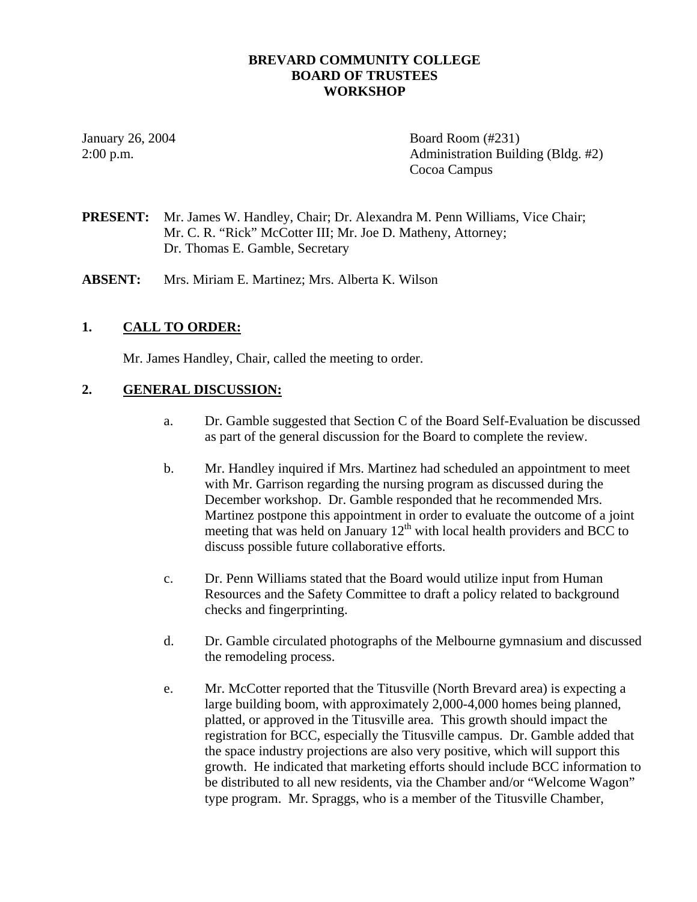### **BREVARD COMMUNITY COLLEGE BOARD OF TRUSTEES WORKSHOP**

January 26, 2004 **Board Room** (#231) 2:00 p.m. Administration Building (Bldg. #2) Cocoa Campus

**PRESENT:** Mr. James W. Handley, Chair; Dr. Alexandra M. Penn Williams, Vice Chair; Mr. C. R. "Rick" McCotter III; Mr. Joe D. Matheny, Attorney; Dr. Thomas E. Gamble, Secretary

**ABSENT:** Mrs. Miriam E. Martinez; Mrs. Alberta K. Wilson

## **1. CALL TO ORDER:**

Mr. James Handley, Chair, called the meeting to order.

### **2. GENERAL DISCUSSION:**

- a. Dr. Gamble suggested that Section C of the Board Self-Evaluation be discussed as part of the general discussion for the Board to complete the review.
- b. Mr. Handley inquired if Mrs. Martinez had scheduled an appointment to meet with Mr. Garrison regarding the nursing program as discussed during the December workshop. Dr. Gamble responded that he recommended Mrs. Martinez postpone this appointment in order to evaluate the outcome of a joint meeting that was held on January  $12<sup>th</sup>$  with local health providers and BCC to discuss possible future collaborative efforts.
- c. Dr. Penn Williams stated that the Board would utilize input from Human Resources and the Safety Committee to draft a policy related to background checks and fingerprinting.
- d. Dr. Gamble circulated photographs of the Melbourne gymnasium and discussed the remodeling process.
- e. Mr. McCotter reported that the Titusville (North Brevard area) is expecting a large building boom, with approximately 2,000-4,000 homes being planned, platted, or approved in the Titusville area. This growth should impact the registration for BCC, especially the Titusville campus. Dr. Gamble added that the space industry projections are also very positive, which will support this growth. He indicated that marketing efforts should include BCC information to be distributed to all new residents, via the Chamber and/or "Welcome Wagon" type program. Mr. Spraggs, who is a member of the Titusville Chamber,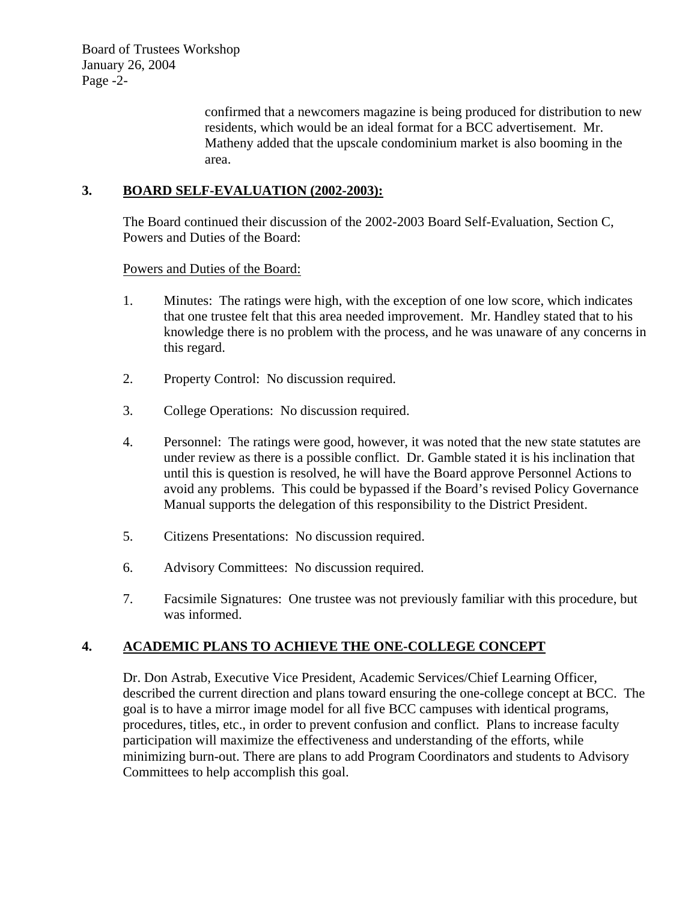confirmed that a newcomers magazine is being produced for distribution to new residents, which would be an ideal format for a BCC advertisement. Mr. Matheny added that the upscale condominium market is also booming in the area.

## **3. BOARD SELF-EVALUATION (2002-2003):**

The Board continued their discussion of the 2002-2003 Board Self-Evaluation, Section C, Powers and Duties of the Board:

Powers and Duties of the Board:

- 1. Minutes: The ratings were high, with the exception of one low score, which indicates that one trustee felt that this area needed improvement. Mr. Handley stated that to his knowledge there is no problem with the process, and he was unaware of any concerns in this regard.
- 2. Property Control: No discussion required.
- 3. College Operations: No discussion required.
- 4. Personnel: The ratings were good, however, it was noted that the new state statutes are under review as there is a possible conflict. Dr. Gamble stated it is his inclination that until this is question is resolved, he will have the Board approve Personnel Actions to avoid any problems. This could be bypassed if the Board's revised Policy Governance Manual supports the delegation of this responsibility to the District President.
- 5. Citizens Presentations: No discussion required.
- 6. Advisory Committees: No discussion required.
- 7. Facsimile Signatures: One trustee was not previously familiar with this procedure, but was informed.

## **4. ACADEMIC PLANS TO ACHIEVE THE ONE-COLLEGE CONCEPT**

Dr. Don Astrab, Executive Vice President, Academic Services/Chief Learning Officer, described the current direction and plans toward ensuring the one-college concept at BCC. The goal is to have a mirror image model for all five BCC campuses with identical programs, procedures, titles, etc., in order to prevent confusion and conflict. Plans to increase faculty participation will maximize the effectiveness and understanding of the efforts, while minimizing burn-out. There are plans to add Program Coordinators and students to Advisory Committees to help accomplish this goal.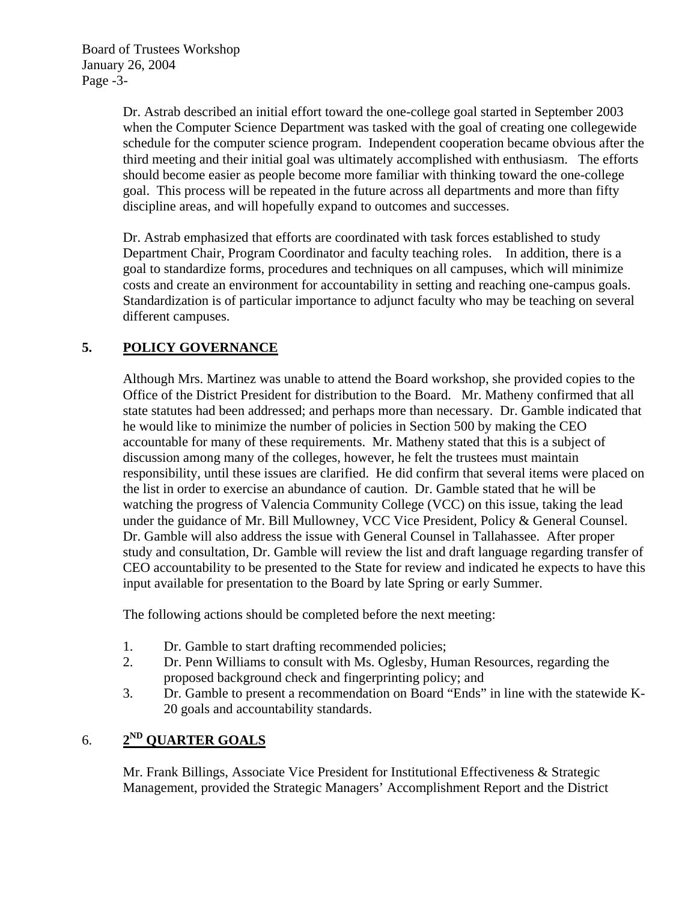Dr. Astrab described an initial effort toward the one-college goal started in September 2003 when the Computer Science Department was tasked with the goal of creating one collegewide schedule for the computer science program. Independent cooperation became obvious after the third meeting and their initial goal was ultimately accomplished with enthusiasm. The efforts should become easier as people become more familiar with thinking toward the one-college goal. This process will be repeated in the future across all departments and more than fifty discipline areas, and will hopefully expand to outcomes and successes.

Dr. Astrab emphasized that efforts are coordinated with task forces established to study Department Chair, Program Coordinator and faculty teaching roles. In addition, there is a goal to standardize forms, procedures and techniques on all campuses, which will minimize costs and create an environment for accountability in setting and reaching one-campus goals. Standardization is of particular importance to adjunct faculty who may be teaching on several different campuses.

# **5. POLICY GOVERNANCE**

Although Mrs. Martinez was unable to attend the Board workshop, she provided copies to the Office of the District President for distribution to the Board. Mr. Matheny confirmed that all state statutes had been addressed; and perhaps more than necessary. Dr. Gamble indicated that he would like to minimize the number of policies in Section 500 by making the CEO accountable for many of these requirements. Mr. Matheny stated that this is a subject of discussion among many of the colleges, however, he felt the trustees must maintain responsibility, until these issues are clarified. He did confirm that several items were placed on the list in order to exercise an abundance of caution. Dr. Gamble stated that he will be watching the progress of Valencia Community College (VCC) on this issue, taking the lead under the guidance of Mr. Bill Mullowney, VCC Vice President, Policy & General Counsel. Dr. Gamble will also address the issue with General Counsel in Tallahassee. After proper study and consultation, Dr. Gamble will review the list and draft language regarding transfer of CEO accountability to be presented to the State for review and indicated he expects to have this input available for presentation to the Board by late Spring or early Summer.

The following actions should be completed before the next meeting:

- 1. Dr. Gamble to start drafting recommended policies;
- 2. Dr. Penn Williams to consult with Ms. Oglesby, Human Resources, regarding the proposed background check and fingerprinting policy; and
- 3. Dr. Gamble to present a recommendation on Board "Ends" in line with the statewide K-20 goals and accountability standards.

# 6. **2ND QUARTER GOALS**

Mr. Frank Billings, Associate Vice President for Institutional Effectiveness & Strategic Management, provided the Strategic Managers' Accomplishment Report and the District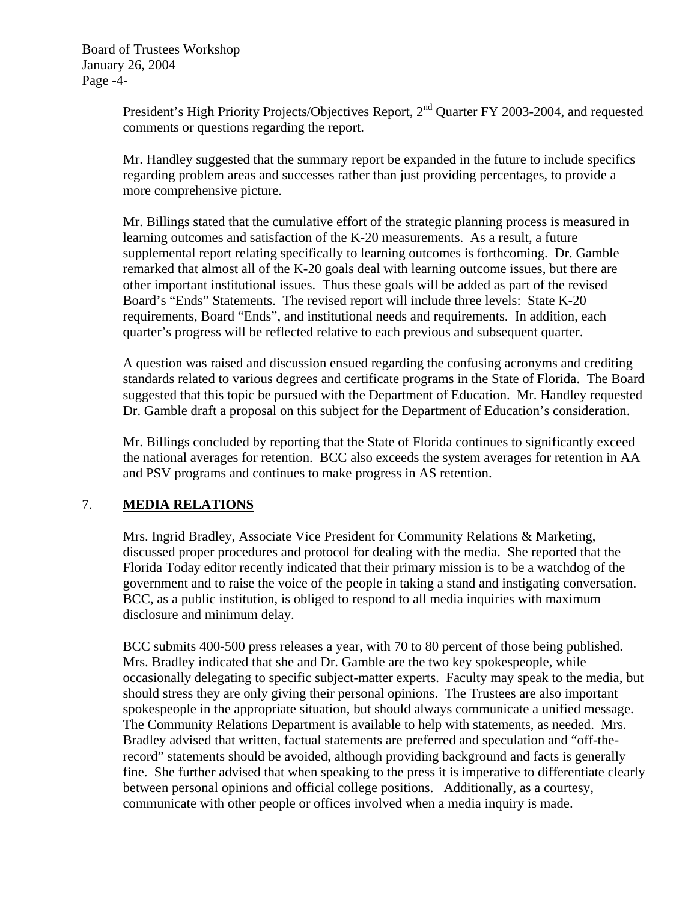President's High Priority Projects/Objectives Report, 2<sup>nd</sup> Quarter FY 2003-2004, and requested comments or questions regarding the report.

Mr. Handley suggested that the summary report be expanded in the future to include specifics regarding problem areas and successes rather than just providing percentages, to provide a more comprehensive picture.

Mr. Billings stated that the cumulative effort of the strategic planning process is measured in learning outcomes and satisfaction of the K-20 measurements. As a result, a future supplemental report relating specifically to learning outcomes is forthcoming. Dr. Gamble remarked that almost all of the K-20 goals deal with learning outcome issues, but there are other important institutional issues. Thus these goals will be added as part of the revised Board's "Ends" Statements. The revised report will include three levels: State K-20 requirements, Board "Ends", and institutional needs and requirements. In addition, each quarter's progress will be reflected relative to each previous and subsequent quarter.

A question was raised and discussion ensued regarding the confusing acronyms and crediting standards related to various degrees and certificate programs in the State of Florida. The Board suggested that this topic be pursued with the Department of Education. Mr. Handley requested Dr. Gamble draft a proposal on this subject for the Department of Education's consideration.

Mr. Billings concluded by reporting that the State of Florida continues to significantly exceed the national averages for retention. BCC also exceeds the system averages for retention in AA and PSV programs and continues to make progress in AS retention.

## 7. **MEDIA RELATIONS**

Mrs. Ingrid Bradley, Associate Vice President for Community Relations & Marketing, discussed proper procedures and protocol for dealing with the media. She reported that the Florida Today editor recently indicated that their primary mission is to be a watchdog of the government and to raise the voice of the people in taking a stand and instigating conversation. BCC, as a public institution, is obliged to respond to all media inquiries with maximum disclosure and minimum delay.

BCC submits 400-500 press releases a year, with 70 to 80 percent of those being published. Mrs. Bradley indicated that she and Dr. Gamble are the two key spokespeople, while occasionally delegating to specific subject-matter experts. Faculty may speak to the media, but should stress they are only giving their personal opinions. The Trustees are also important spokespeople in the appropriate situation, but should always communicate a unified message. The Community Relations Department is available to help with statements, as needed. Mrs. Bradley advised that written, factual statements are preferred and speculation and "off-therecord" statements should be avoided, although providing background and facts is generally fine. She further advised that when speaking to the press it is imperative to differentiate clearly between personal opinions and official college positions. Additionally, as a courtesy, communicate with other people or offices involved when a media inquiry is made.